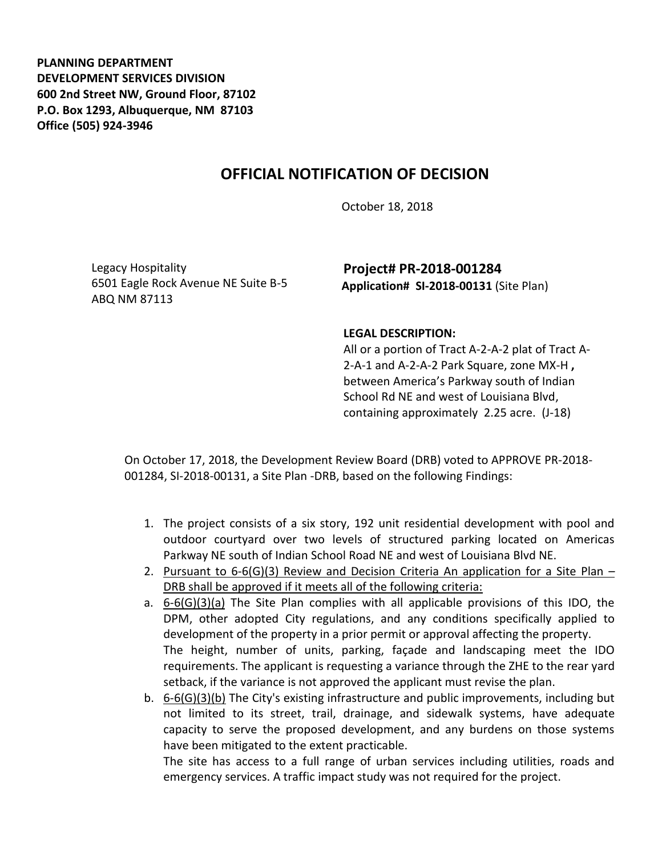**PLANNING DEPARTMENT DEVELOPMENT SERVICES DIVISION 600 2nd Street NW, Ground Floor, 87102 P.O. Box 1293, Albuquerque, NM 87103 Office (505) 924-3946** 

## **OFFICIAL NOTIFICATION OF DECISION**

October 18, 2018

Legacy Hospitality 6501 Eagle Rock Avenue NE Suite B-5 ABQ NM 87113

**Project# PR-2018-001284 Application# SI-2018-00131** (Site Plan)

## **LEGAL DESCRIPTION:**

All or a portion of Tract A-2-A-2 plat of Tract A-2-A-1 and A-2-A-2 Park Square, zone MX-H **,** between America's Parkway south of Indian School Rd NE and west of Louisiana Blvd, containing approximately 2.25 acre. (J-18)

On October 17, 2018, the Development Review Board (DRB) voted to APPROVE PR-2018- 001284, SI-2018-00131, a Site Plan -DRB, based on the following Findings:

- 1. The project consists of a six story, 192 unit residential development with pool and outdoor courtyard over two levels of structured parking located on Americas Parkway NE south of Indian School Road NE and west of Louisiana Blvd NE.
- 2. Pursuant to  $6-6$ (G)(3) Review and Decision Criteria An application for a Site Plan DRB shall be approved if it meets all of the following criteria:
- a. 6-6(G)(3)(a) The Site Plan complies with all applicable provisions of this IDO, the DPM, other adopted City regulations, and any conditions specifically applied to development of the property in a prior permit or approval affecting the property. The height, number of units, parking, façade and landscaping meet the IDO requirements. The applicant is requesting a variance through the ZHE to the rear yard setback, if the variance is not approved the applicant must revise the plan.
- b. 6-6(G)(3)(b) The City's existing infrastructure and public improvements, including but not limited to its street, trail, drainage, and sidewalk systems, have adequate capacity to serve the proposed development, and any burdens on those systems have been mitigated to the extent practicable.

The site has access to a full range of urban services including utilities, roads and emergency services. A traffic impact study was not required for the project.